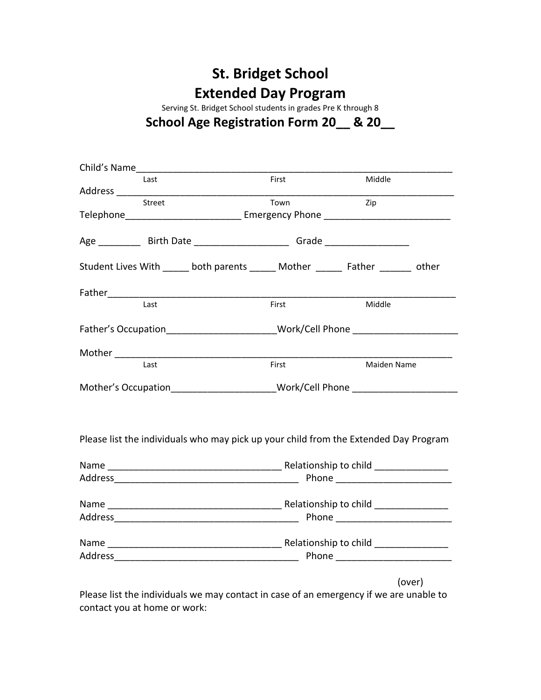## **St. Bridget School Extended Day Program**

Serving St. Bridget School students in grades Pre K through 8

## **School Age Registration Form 20\_\_ & 20\_\_**

| Child's Name      |                                                                                      |                                                                                                                                                                                                                                |  |  |  |
|-------------------|--------------------------------------------------------------------------------------|--------------------------------------------------------------------------------------------------------------------------------------------------------------------------------------------------------------------------------|--|--|--|
| Last              | First                                                                                | Middle                                                                                                                                                                                                                         |  |  |  |
|                   |                                                                                      |                                                                                                                                                                                                                                |  |  |  |
| Street            | Town                                                                                 | Zip                                                                                                                                                                                                                            |  |  |  |
|                   |                                                                                      |                                                                                                                                                                                                                                |  |  |  |
|                   | Age ____________ Birth Date _________________________Grade _____________________     |                                                                                                                                                                                                                                |  |  |  |
|                   | Student Lives With ______ both parents ______ Mother ______ Father ______ other      |                                                                                                                                                                                                                                |  |  |  |
| Father___________ |                                                                                      |                                                                                                                                                                                                                                |  |  |  |
| Last              | First                                                                                | Middle                                                                                                                                                                                                                         |  |  |  |
|                   |                                                                                      | Father's Occupation Mork/Cell Phone                                                                                                                                                                                            |  |  |  |
|                   |                                                                                      |                                                                                                                                                                                                                                |  |  |  |
| Last              | First                                                                                | Maiden Name                                                                                                                                                                                                                    |  |  |  |
|                   |                                                                                      | Mother's Occupation________________________Work/Cell Phone _____________________                                                                                                                                               |  |  |  |
|                   | Please list the individuals who may pick up your child from the Extended Day Program |                                                                                                                                                                                                                                |  |  |  |
|                   |                                                                                      |                                                                                                                                                                                                                                |  |  |  |
|                   |                                                                                      |                                                                                                                                                                                                                                |  |  |  |
|                   |                                                                                      |                                                                                                                                                                                                                                |  |  |  |
|                   |                                                                                      |                                                                                                                                                                                                                                |  |  |  |
|                   |                                                                                      |                                                                                                                                                                                                                                |  |  |  |
|                   |                                                                                      | Address Phone Phone Phone Phone Phone Phone Phone Phone Phone Phone Phone Phone Phone Phone Phone Phone Phone Phone Phone Phone Phone Phone Phone Phone Phone Phone Phone Phone Phone Phone Phone Phone Phone Phone Phone Phon |  |  |  |
|                   |                                                                                      | (over)                                                                                                                                                                                                                         |  |  |  |

Please list the individuals we may contact in case of an emergency if we are unable to contact you at home or work: